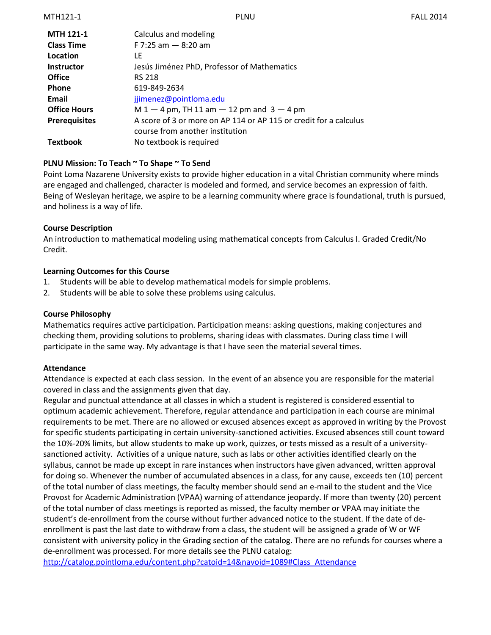| <b>MTH 121-1</b>     | Calculus and modeling                                             |
|----------------------|-------------------------------------------------------------------|
| <b>Class Time</b>    | F 7:25 am $-$ 8:20 am                                             |
| Location             | LF                                                                |
| <b>Instructor</b>    | Jesús Jiménez PhD, Professor of Mathematics                       |
| <b>Office</b>        | <b>RS 218</b>                                                     |
| <b>Phone</b>         | 619-849-2634                                                      |
| Email                | jjimenez@pointloma.edu                                            |
| <b>Office Hours</b>  | $M 1 - 4$ pm, TH 11 am $- 12$ pm and $3 - 4$ pm                   |
| <b>Prerequisites</b> | A score of 3 or more on AP 114 or AP 115 or credit for a calculus |
|                      | course from another institution                                   |
| Textbook             | No textbook is required                                           |

# **PLNU Mission: To Teach ~ To Shape ~ To Send**

Point Loma Nazarene University exists to provide higher education in a vital Christian community where minds are engaged and challenged, character is modeled and formed, and service becomes an expression of faith. Being of Wesleyan heritage, we aspire to be a learning community where grace is foundational, truth is pursued, and holiness is a way of life.

### **Course Description**

An introduction to mathematical modeling using mathematical concepts from Calculus I. Graded Credit/No Credit.

### **Learning Outcomes for this Course**

- 1. Students will be able to develop mathematical models for simple problems.
- 2. Students will be able to solve these problems using calculus.

#### **Course Philosophy**

Mathematics requires active participation. Participation means: asking questions, making conjectures and checking them, providing solutions to problems, sharing ideas with classmates. During class time I will participate in the same way. My advantage is that I have seen the material several times.

### **Attendance**

Attendance is expected at each class session. In the event of an absence you are responsible for the material covered in class and the assignments given that day.

Regular and punctual attendance at all classes in which a student is registered is considered essential to optimum academic achievement. Therefore, regular attendance and participation in each course are minimal requirements to be met. There are no allowed or excused absences except as approved in writing by the Provost for specific students participating in certain university-sanctioned activities. Excused absences still count toward the 10%-20% limits, but allow students to make up work, quizzes, or tests missed as a result of a universitysanctioned activity. Activities of a unique nature, such as labs or other activities identified clearly on the syllabus, cannot be made up except in rare instances when instructors have given advanced, written approval for doing so. Whenever the number of accumulated absences in a class, for any cause, exceeds ten (10) percent of the total number of class meetings, the faculty member should send an e-mail to the student and the Vice Provost for Academic Administration (VPAA) warning of attendance jeopardy. If more than twenty (20) percent of the total number of class meetings is reported as missed, the faculty member or VPAA may initiate the student's de-enrollment from the course without further advanced notice to the student. If the date of deenrollment is past the last date to withdraw from a class, the student will be assigned a grade of W or WF consistent with university policy in the Grading section of the catalog. There are no refunds for courses where a de-enrollment was processed. For more details see the PLNU catalog:

[http://catalog.pointloma.edu/content.php?catoid=14&navoid=1089#Class\\_Attendance](http://catalog.pointloma.edu/content.php?catoid=14&navoid=1089#Class_Attendance)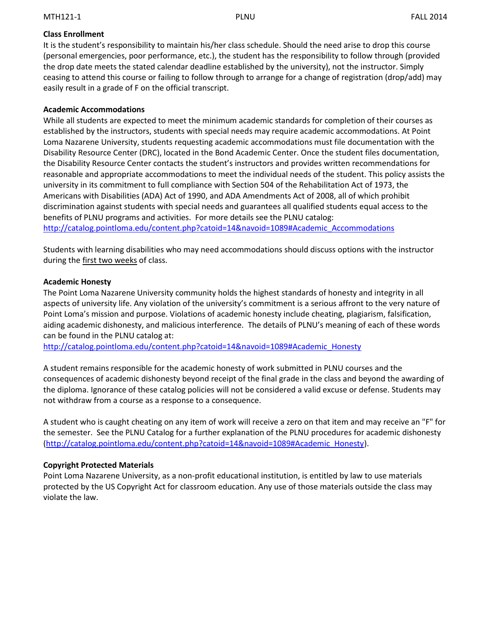# **Class Enrollment**

It is the student's responsibility to maintain his/her class schedule. Should the need arise to drop this course (personal emergencies, poor performance, etc.), the student has the responsibility to follow through (provided the drop date meets the stated calendar deadline established by the university), not the instructor. Simply ceasing to attend this course or failing to follow through to arrange for a change of registration (drop/add) may easily result in a grade of F on the official transcript.

### **Academic Accommodations**

While all students are expected to meet the minimum academic standards for completion of their courses as established by the instructors, students with special needs may require academic accommodations. At Point Loma Nazarene University, students requesting academic accommodations must file documentation with the Disability Resource Center (DRC), located in the Bond Academic Center. Once the student files documentation, the Disability Resource Center contacts the student's instructors and provides written recommendations for reasonable and appropriate accommodations to meet the individual needs of the student. This policy assists the university in its commitment to full compliance with Section 504 of the Rehabilitation Act of 1973, the Americans with Disabilities (ADA) Act of 1990, and ADA Amendments Act of 2008, all of which prohibit discrimination against students with special needs and guarantees all qualified students equal access to the benefits of PLNU programs and activities. For more details see the PLNU catalog: [http://catalog.pointloma.edu/content.php?catoid=14&navoid=1089#Academic\\_Accommodations](http://catalog.pointloma.edu/content.php?catoid=14&navoid=1089#Academic_Accommodations)

Students with learning disabilities who may need accommodations should discuss options with the instructor during the first two weeks of class.

### **Academic Honesty**

The Point Loma Nazarene University community holds the highest standards of honesty and integrity in all aspects of university life. Any violation of the university's commitment is a serious affront to the very nature of Point Loma's mission and purpose. Violations of academic honesty include cheating, plagiarism, falsification, aiding academic dishonesty, and malicious interference. The details of PLNU's meaning of each of these words can be found in the PLNU catalog at:

[http://catalog.pointloma.edu/content.php?catoid=14&navoid=1089#Academic\\_Honesty](http://catalog.pointloma.edu/content.php?catoid=14&navoid=1089#Academic_Honesty)

A student remains responsible for the academic honesty of work submitted in PLNU courses and the consequences of academic dishonesty beyond receipt of the final grade in the class and beyond the awarding of the diploma. Ignorance of these catalog policies will not be considered a valid excuse or defense. Students may not withdraw from a course as a response to a consequence.

A student who is caught cheating on any item of work will receive a zero on that item and may receive an "F" for the semester. See the PLNU Catalog for a further explanation of the PLNU procedures for academic dishonesty [\(http://catalog.pointloma.edu/content.php?catoid=14&navoid=1089#Academic\\_Honesty\)](http://catalog.pointloma.edu/content.php?catoid=14&navoid=1089#Academic_Honesty).

### **Copyright Protected Materials**

Point Loma Nazarene University, as a non-profit educational institution, is entitled by law to use materials protected by the US Copyright Act for classroom education. Any use of those materials outside the class may violate the law.